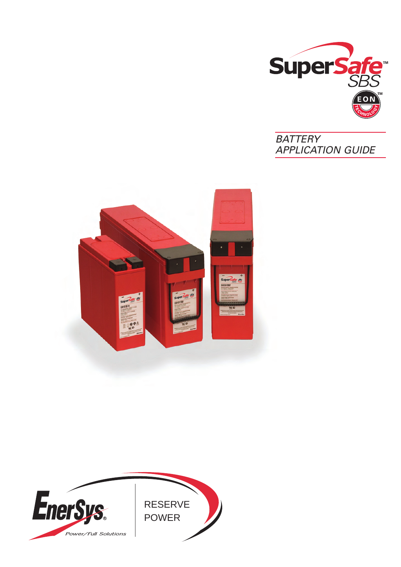





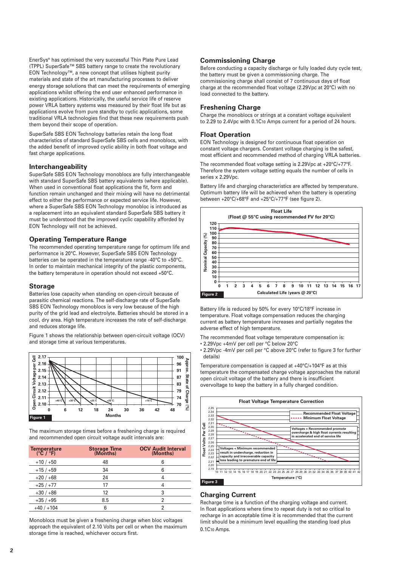EnerSys® has optimised the very successful Thin Plate Pure Lead (TPPL) SuperSafe™ SBS battery range to create the revolutionary EON Technology™, a new concept that utilises highest purity materials and state of the art manufacturing processes to deliver energy storage solutions that can meet the requirements of emerging applications whilst offering the end user enhanced performance in existing applications. Historically, the useful service life of reserve power VRLA battery systems was measured by their float life but as applications evolve from pure standby to cyclic applications, some traditional VRLA technologies find that these new requirements push them beyond their scope of operation.

SuperSafe SBS EON Technology batteries retain the long float characteristics of standard SuperSafe SBS cells and monoblocs, with the added benefit of improved cyclic ability in both float voltage and fast charge applications.

#### **Interchangeability**

SuperSafe SBS EON Technology monoblocs are fully interchangeable with standard SuperSafe SBS battery equivalents (where applicable). When used in conventional float applications the fit, form and function remain unchanged and their mixing will have no detrimental effect to either the performance or expected service life. However, where a SuperSafe SBS EON Technology monobloc is introduced as a replacement into an equivalent standard SuperSafe SBS battery it must be understood that the improved cyclic capability afforded by EON Technology will not be achieved.

### **Operating Temperature Range**

The recommended operating temperature range for optimum life and performance is 20°C. However, SuperSafe SBS EON Technology batteries can be operated in the temperature range -40°C to +50°C. In order to maintain mechanical integrity of the plastic components, the battery temperature in operation should not exceed +50°C.

#### **Storage**

Batteries lose capacity when standing on open-circuit because of parasitic chemical reactions. The self-discharge rate of SuperSafe SBS EON Technology monoblocs is very low because of the high purity of the grid lead and electrolyte. Batteries should be stored in a cool, dry area. High temperature increases the rate of self-discharge and reduces storage life.

Figure 1 shows the relationship between open-circuit voltage (OCV) and storage time at various temperatures.



The maximum storage times before a freshening charge is required and recommended open circuit voltage audit intervals are:

| Temperature<br>$(^{\circ}C / ^{\circ}F)$ | <b>Storage Time</b><br>(Months) | <b>OCV Audit Interval</b><br>(Months) |
|------------------------------------------|---------------------------------|---------------------------------------|
| $+10/+50$                                | 48                              | 6                                     |
| $+15/+59$                                | 34                              | 6                                     |
| $+20/+68$                                | 24                              |                                       |
| $+25/+77$                                | 17                              |                                       |
| $+30/+86$                                | 12                              | 3                                     |
| $+35/+95$                                | 8.5                             |                                       |
| $+40/+104$                               | 6                               | 2                                     |

Monoblocs must be given a freshening charge when bloc voltages approach the equivalent of 2.10 Volts per cell or when the maximum storage time is reached, whichever occurs first.

### **Commissioning Charge**

Before conducting a capacity discharge or fully loaded duty cycle test, the battery must be given a commissioning charge. The commissioning charge shall consist of 7 continuous days of float charge at the recommended float voltage (2.29Vpc at 20°C) with no load connected to the battery.

### **Freshening Charge**

Charge the monoblocs or strings at a constant voltage equivalent to 2.29 to 2.4Vpc with 0.1C10 Amps current for a period of 24 hours.

#### **Float Operation**

EON Technology is designed for continuous float operation on constant voltage chargers. Constant voltage charging is the safest, most efficient and recommended method of charging VRLA batteries.

The recommended float voltage setting is 2.29Vpc at +20°C/+77°F. Therefore the system voltage setting equals the number of cells in series x 2.29Vpc.

Battery life and charging characteristics are affected by temperature. Optimum battery life will be achieved when the battery is operating between +20°C/+68°F and +25°C/+77°F (see figure 2).



Battery life is reduced by 50% for every 10°C/18°F increase in temperature. Float voltage compensation reduces the charging current as battery temperature increases and partially negates the adverse effect of high temperature.

The recommended float voltage temperature compensation is: • 2.29Vpc +4mV per cell per °C below 20°C

- 
- 2.29Vpc -4mV per cell per °C above 20°C (refer to figure 3 for further details)

Temperature compensation is capped at +40°C/+104°F as at this temperature the compensated charge voltage approaches the natural open circuit voltage of the battery and there is insufficient overvoltage to keep the battery in a fully charged condition.



## **Charging Current**

Recharge time is a function of the charging voltage and current. In float applications where time to repeat duty is not so critical to recharge in an acceptable time it is recommended that the current limit should be a minimum level equalling the standing load plus 0.1C10 Amps.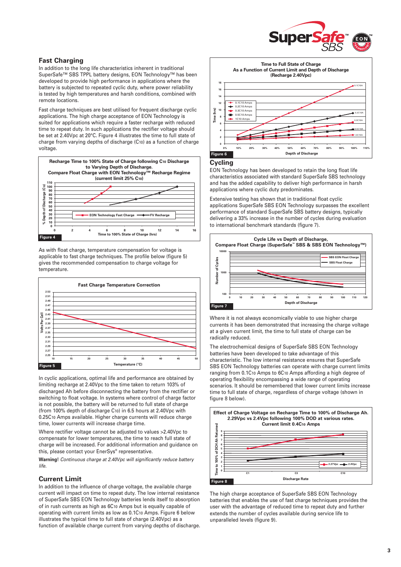

# **Fast Charging**

In addition to the long life characteristics inherent in traditional SuperSafe™ SBS TPPL battery designs, EON Technology™ has been developed to provide high performance in applications where the battery is subjected to repeated cyclic duty, where power reliability is tested by high temperatures and harsh conditions, combined with remote locations.

Fast charge techniques are best utilised for frequent discharge cyclic applications. The high charge acceptance of EON Technology is suited for applications which require a faster recharge with reduced time to repeat duty. In such applications the rectifier voltage should be set at 2.40Vpc at 20°C. Figure 4 illustrates the time to full state of charge from varying depths of discharge (C10) as a function of charge voltage.



As with float charge, temperature compensation for voltage is applicable to fast charge techniques. The profile below (figure 5) gives the recommended compensation to charge voltage for temperature.



In cyclic applications, optimal life and performance are obtained by limiting recharge at 2.40Vpc to the time taken to return 103% of discharged Ah before disconnecting the battery from the rectifier or switching to float voltage. In systems where control of charge factor is not possible, the battery will be returned to full state of charge (from 100% depth of discharge C10) in 6.5 hours at 2.40Vpc with 0.25C10 Amps available. Higher charge currents will reduce charge time, lower currents will increase charge time.

Where rectifier voltage cannot be adjusted to values >2.40Vpc to compensate for lower temperatures, the time to reach full state of charge will be increased. For additional information and guidance on this, please contact your EnerSys® representative.

**Warning!** Continuous charge at 2.40Vpc will significantly reduce battery life.

# **Current Limit**

In addition to the influence of charge voltage, the available charge current will impact on time to repeat duty. The low internal resistance of SuperSafe SBS EON Technology batteries lends itself to absorption of in rush currents as high as 6C10 Amps but is equally capable of operating with current limits as low as 0.1C10 Amps. Figure 6 below illustrates the typical time to full state of charge (2.40Vpc) as a function of available charge current from varying depths of discharge.



#### **Cycling**

EON Technology has been developed to retain the long float life characteristics associated with standard SuperSafe SBS technology and has the added capability to deliver high performance in harsh applications where cyclic duty predominates.

Extensive testing has shown that in traditional float cyclic applications SuperSafe SBS EON Technology surpasses the excellent performance of standard SuperSafe SBS battery designs, typically delivering a 33% increase in the number of cycles during evaluation to international benchmark standards (figure 7).



Where it is not always economically viable to use higher charge currents it has been demonstrated that increasing the charge voltage at a given current limit, the time to full state of charge can be radically reduced.

The electrochemical designs of SuperSafe SBS EON Technology batteries have been developed to take advantage of this characteristic. The low internal resistance ensures that SuperSafe SBS EON Technology batteries can operate with charge current limits ranging from 0.1C10 Amps to 6C10 Amps affording a high degree of operating flexibility encompassing a wide range of operating scenarios. It should be remembered that lower current limits increase time to full state of charge, regardless of charge voltage (shown in figure 8 below).



The high charge acceptance of SuperSafe SBS EON Technology batteries that enables the use of fast charge techniques provides the user with the advantage of reduced time to repeat duty and further extends the number of cycles available during service life to unparalleled levels (figure 9).